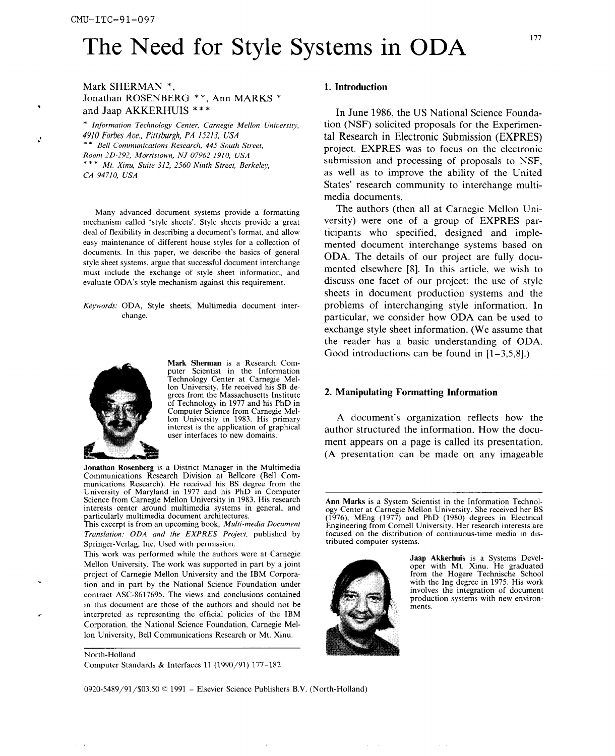# The Need for Style Systems in ODA

## Mark SHERMAN \*, 1. Introduction Jonathan ROSENBERG \*\*, Ann MARKS \*<br>and Jaap AKKERHUIS \*\*\*

submission and processing of proposals to NSF, • \*\* *Mt*. *Xinu, Suite 312, 2*5*60 Ninth Street, Berkeley,*

mechanism called 'style sheets'. Style sheets provide a great evaluate ODA's style mechanism against this requirement.



Mark Sherma**n** is a Research Computer Scientist in the Information Technology *C*enter at Carnegie Mellon University. He received his SB deof Technology in 1977 and his PhD in Computer Science from Carnegie Mel-<br>lon University in 1983. His primary user interfaces to new domains.

Jonathan Rosenberg is a District Manager in the Multimedia Communications Research Division at Bellcore (Bell Communications Research). He received his BS degree from the University of Maryland in 1977 and his PhD in Computer Science from Carnegie Mellon University in 1983. His research Science from Carnegie Mellon University in 1983. His research **Ann Marks** is a System Scientist in the Information Technol-<br>Ann Marks is a System Scientist in the Information Technol-<br>
over Center at Carnegie Mellon Univer

*Translation: ODA and the EXPRES Project*, published by focused on the distribution of continuous continuous *tributed computer systems.* 

Springer-Verlag, Inc. Used with permission.<br>This work was performed while the authors were at Carnegie Mellon University. The work was supported in part by a joint oper with Mt. Xinu. He graduated project of Carnegie Mellon University and the IBM Corpora-<br>
From the Hogere Technische School project of *Carnegie Mellon University and the IBM Corpora-* from the Hogere Technische School<br>
tion and in part by the National Science Foundation under with the Ing degree in 1975. His work tion and in part by the National Science Foundation under contract ASC-8617695. The views and conclusions contained Fortract ASC 6017695. The views and conclusions contained production systems with new environ-<br>in this document are those of the authors and should not be ments. *•* interpreted as representing the official policies of the IBM Corporation, the National Science Foundation, Carnegie Mellon University, Bell Communications Research or Mt. Xinu.

North-Holland Computer Standards & Interfaces 11 (1990*/*91) 177-182

In June 1986, the US National Science Founda-• *Information Technology Center*, *Carnegie Mellon Uni*v*ersity*, tion (NSF) solicited proposals for the Experimen- , *4910 Forbes Ave*.*, Pittsburgh, PA 1*5*213, USA* tal Research in Electronic Submission(EXPRES) Room 2D-292, Morristown, NJ 07962-1910, USA<br>\*\*\* Me Yim Suite 212, 2560 Minth Street, Bull 1. as well as to improve the ability of the United States*'* research community to interchange multimedia documents.

Many advanced document systems provide a formatting The authors (then all at Carnegie Mellon Uni-<br>
chanism called 'style sheets'. Style sheets provide a great versity) were one of a group of EXPRES pardeal of flexibility in describing a document's format, and allow ticipants who specified, designed and imple-<br>easy maintenance of different house styles for a collection of mented document interchange systems hased on easy maintenance of different house styles for a collection of mented document interchange systems based on documents. In this paper, we describe the basics of general  $OPA$ . The data is a formulate the set of the data documents. In this paper, we describe the basics of general  $\overline{ODA}$ . The details of our project are fully docu-<br>style sheet systems, argue that successful document interchange mented elsewhere [8]. In this article, we wi must include the exchange of style sheet information, and mented elsewhere [8]. In this article, we wish to evaluate ODA's style mechanism against this requirement. sheets in document production systems and the *Keywords*: ODA, Style sheets, Multimedia document inter-<br>
change. Change and the state of interchanging style information. In particular, we consider how ODA can be used to exchange style sheet information. (We assume that the reader has a basic understanding of ODA. Good introductions can be found in  $[1-3,5,8]$ .

### grees from the Massachusetts Institute 2. Mani**p**ulating Format**t**ing In**f**ormation

Lon University in 1983. His primary A document's organization reflects how the interest is the application of graphical author structured the information. How the docuauthor structured the information. How the document appears on a page is called its presentation. (A presentation can be made on any imageable

interests center around multimedia systems in general, and ogy *C*enter at *C*arnegie Mellon University. She received her BS particularly multimedia document architectures.<br>This excerpt is from an upcoming book, *Multi-media Document* Engineering from Cornell University. Her research interests are Engineering from Cornell University. Her research interests are focused on the distribution of continuous-time media in dis-



Jaap Akkerhuis is a Systems Devel-<br>oper with Mt. Xinu. He graduated involves the integration of document

0920-5489*/*91*/*\$03.50 © 1991 - Elsevier Science Publishers B.V. (North-Holland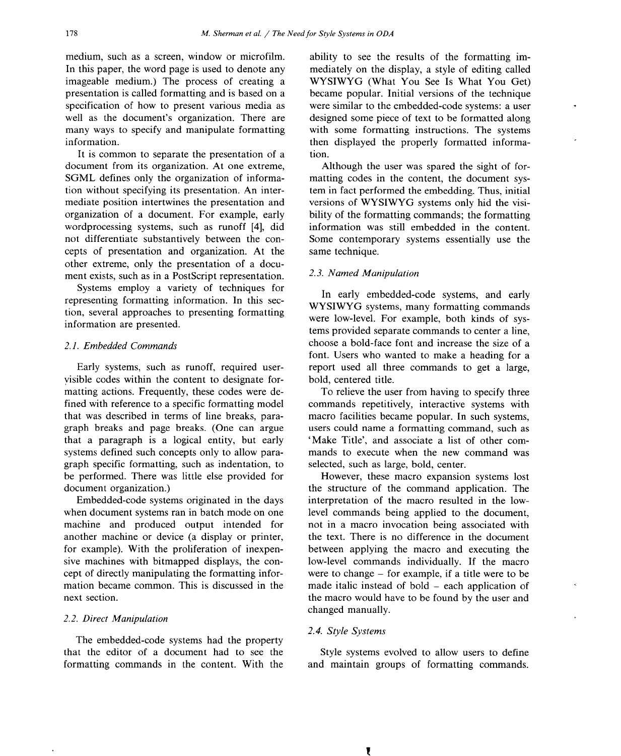medium, such as a screen, window or microfilm, ability to see the results of the formatting im-In this paper, the word page is used to denote any mediately on the display, a style of editing called imageable medium.) The process of creating a WYSIWYG (What You See Is What You Get) imageable medium.) The process of creating a WYSIWYG (What You See Is What You Get) presentation is called formatting and is based on a became popular. Initial versions of the technique presentation is called formatting and is based on a became popular. Initial versions of the technique specification of how to present various media as were similar to the embedded-code systems: a user well as the document's organization. There are designed some piece of text to be formatted along many ways to specify and manipulate formatting with some formatting instructions. The systems

It is common to separate the presentation of a tion.<br>
cument from its organization. At one extreme, Although the user was spared the sight of fordocument from its organization. At one extreme, SGML defines only the organization of information without specifying its presentation. An inter-<br>mediate prosentation inter-<br>mediate position intertwines the presentation and<br>versions of WYSIWYG systems only hid the visimediate position intertwines the presentation and versions of WYSIWYG systems only hid the visi-<br>organization of a document. For example, early bility of the formatting commands; the formatting organization of a document. For example, early bility of the formatting commands; the formatting wordprocessing systems, such as runoff [4], did not differentiate substantively between the concepts of presentation and organization. At the other extreme, only the presentation of a document exists, such as in a PostScript representation. 2.3. *Named Manipulation*<br>Systems employ a variety of techniques for

Systems employ a variety of techniques for<br>
In early embedded-code systems, and early<br>
The early embedded-code systems, and early<br>
The early embedded-code systems, and early<br>
WYSIWYG systems, many formatting commands tion, several approaches to presenting formatting tion, several approaches to presenting formatting were low-level. For example, both kinds of sys-<br>information are presented.

visible codes within the content to designate for-<br>matting actions. Frequently, these codes were dematting actions. Frequently, these codes were de-<br>
fined with reference to a specific formatting model commands repetitively, interactive systems with fined with reference to a specific formatting model commands repetitively, interactive systems with that was described in terms of line breaks, para-<br>that was described in terms of line breaks, para- macro facilities becam that was described in terms of line breaks, para-<br>graph breaks and page breaks. (One can argue users could name a formatting command, such as that a paragraph is a logical entity, but early systems defined such concepts only to allow paragraph specific formatting, such as indentation, to selected, such as large, bold, center.<br>be performed. There was little else provided for However, these macro expansion systems lost be performed. There was little else provided for document organization.)

when document systems ran in batch mode on one<br>machine and produced output intended for another machine or device (a display or printer, for example). With the proliferation of inexpenfor example). With the proliferation of inexpen-<br>sive machines with bitmapped displays, the con-<br>low-level commands individually. If the macro sive machines with bitmapped displays, the con-<br>cept of directly manipulating the formatting infor-<br>were to change – for example, if a title were to be cept of directly manipulating the formatting infor-<br>mation became common. This is discussed in the made italic instead of bold – each application of mation became common. This is discussed in the made italic instead of bold – each application of next section.

### *2*.*2*. *Direct Manipulation*

The embedded-code systems had the property that the editor of a document had to see the Style systems evolved to allow users to define<br>formatting commands in the content. With the and maintain groups of formatting commands. formatting commands in the content. With the

were similar to the embedded-code systems: a user with some formatting instructions. The systems information.<br>It is common to separate the presentation of a tion.

> matting codes in the content, the document sys-<br>tem in fact performed the embedding. Thus, initial Some contemporary systems essentially use the same technique.

tems provided separate commands to center a line, *2*.*1*. *Embedded Commands* choose a bold-face font and increase the size of a font. Users who wanted to make a heading for a Early systems, such as runoff, required user-<br>ible codes within the content to designate for-<br>bold, centered title.

> users could name a formatting command, such as<br>'Make Title', and associate a list of other commands to execute when the new command was selected, such as large, bold, center.

cument organization.)<br>
Embedded-code systems originated in the days<br>
the structure of the command application. The<br>
Embedded-code systems originated in the days<br>
the foregration of the macro resulted in the lowinterpretation of the macro resulted in the low-<br>level commands being applied to the document, not in a macro invocation being associated with<br>the text. There is no difference in the document the macro would have to be found by the user and changed manually.

### *2*.*4*. *Style Systems*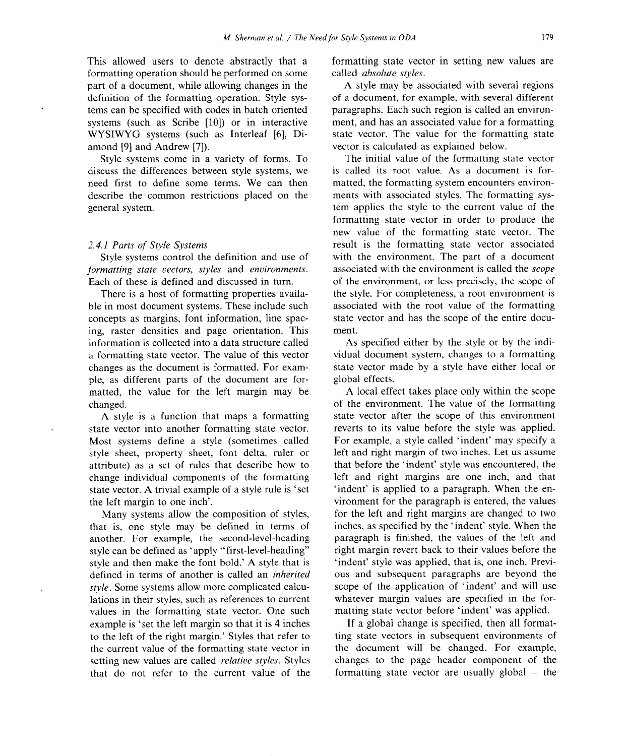formatting operation should be performed on some called *absolute styles*. part of a document, while allowing changes in the definition of the formatting operation. Style syssystems (such as Scribe [10]) or in interactive WYSIWYG systems (such as Interleaf [6], Di-

discuss the differences between style systems, we is called its root value. As a document is for-<br>need first to define some terms. We can then matted, the formatting system encounters environneed first to define some terms. We can then describe the common restrictions placed on the ments with associated styles. The formatting sys-

*formatting state vectors*, *styles* and *environments*.<br>Each of these is defined and discussed in turn.

ble in most document systems. These include such associated with the root value of the formatting concepts as margins, font information, line spac-<br>state vector and has the scope of the entire docuconcepts as margins, font information, line spacing, raster densities and page orientation. This ment.<br>information is collected into a data structure called As specified either by the style or by the indiinformation is collected into a data structure called As specified either by the style or by the indi-<br>a formatting state vector. The value of this vector vidual document system, changes to a formatting a formatting state vector. The value of this vector vidual document system, changes to a formatting changes as the document is formatted. For exam-<br>state vector made by a style have either local or changes as the document is formatted. For exam-<br>
ple. as different parts of the document are for-<br>
global effects. ple, as different parts of the document are for-<br>matted, the value for the left margin may be A local effect takes place only within the scope matted, the value for the left margin may be

state vector into another formatting state vector. The reverts to its value before the style was applied.<br>Most systems define a style (sometimes called For example, a style called 'indent' may specify a Most systems define a style (sometimes called For example, a style called 'indent' may specify a style sheet, property sheet, font delta, ruler or left and right margin of two inches. Let us assume style sheet, property sheet, font delta, ruler or left and right margin of two inches. Let us assume attribute) as a set of rules that describe how to that before the 'indent' style was encountered, the attribute) as a set of rules that describe how to change individual components of the formatting state vector. A trivial example of a style rule is 'set the left margin to one inch'.

that is, one style may be defined in terms of inches, as specified by the 'indent' style. When the another. For example, the second-level-heading paragraph is finished, the values of the left and another. For example, the second-level-heading paragraph is finished, the values of the left and style can be defined as 'apply "first-level-heading" right margin revert back to their values before the style can be defined as 'apply "first-level-heading" right margin revert back to their values before the style and then make the font bold.' A style that is findent' style was applied, that is, one inch. Previstyle and then make the font bold.' A style that is defined in terms of another is called an *inherited style*. Some systems allow more complicated calcu-<br>lations in their styles, such as references to current whatever margin values are specified in the forvalues in the formatting state vector. One such example is 'set the left margin so that it is 4 inches If a global change is specified, then all format-<br>to the left of the right margin.' Styles that refer to the state vectors in subsequent environments of to the left of the right margin.' Styles that refer to ting state vectors in subsequent environments of the current value of the formatting state vector in the document will be changed. For example, the current value of the formatting state vector in the document will be changed. For example, setting new values are called *relative styles*. Styles changes to the page header component of the setting new values are called *relative styles*. Styles that do not refer to the current value of the

This allowed users to denote abstractly that a formatting state vector in setting new values are

of a document, for example, with several different paragraphs. Each such region is called an environtems can be specified with codes in batch oriented paragraphs. Each such region is called an environ-<br>systems (such as Scribe 1101) or in interactive ment, and has an associated value for a formatting WYSIWYG systems (such as Interleaf [6], Di-<br>atte vector. The value for the formatting state<br>amond [9] and Andrew [7]). vector is calculated as explained below. vector is calculated as explained below.

Style systems come in a variety of forms. To The initial value of the formatting state vector general system. The style to the current value of the style to the current value of the style to the current value of the style to the current value of the style to the current value of the style to the current value of th formatting state vector in order to produce the new value of the formatting state vector. The 2.4.1 *Parts of Style Systems* result is the formatting state vector associated Style systems control the definition and use of with the environment. The part of a document with the environment. The part of a document associated with the environment is called the *scope* of the environment, or less precisely, the scope of the style. For completeness, a root environment is There is a host of formatting properties availa-<br>the style. For completeness, a root environment is<br>in most document systems. These include such associated with the root value of the formatting

changed.<br>
A style is a function that maps a formatting<br>  $\frac{1}{2}$  state vector after the scope of this environment A style is a function that maps a formatting state vector after the scope of this environment<br>te vector into another formatting state vector. Inverse to its value before the style was applied. left and right margins are one inch, and that 'indent' is applied to a paragraph. When the environment for the paragraph is entered, the values<br>for the left and right margins are changed to two Many systems allow the composition of styles, for the left and right margins are changed to two<br>It is, one style may be defined in terms of inches, as specified by the 'indent' style. When the ous and subsequent paragraphs are beyond the whatever margin values are specified in the for-<br>matting state vector before 'indent' was applied.

formatting state vector are usually global  $-$  the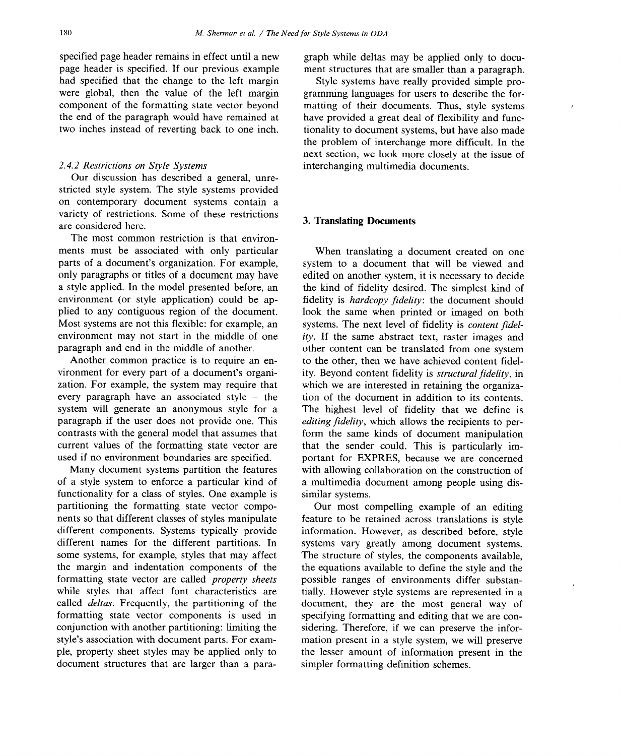specified page header remains in effect until a new graph while deltas may be applied only to docu-<br>page header is specified. If our previous example ment structures that are smaller than a paragraph. page header is specified. If our previous example ment structures that are smaller than a paragraph.<br>had specified that the change to the left margin Style systems have really provided simple prohad specified that the change to the left margin Style systems have really provided simple pro-<br>were global, then the value of the left margin gramming languages for users to describe the forcomponent of the formatting state vector beyond the end of the paragraph would have remained at the end of the paragraph would have remained at have provided a great deal of flexibility and func-<br>two inches instead of reverting back to one inch. Itionality to document systems, but have also made

Our discussion has described a general, unrestricted style system. The style systems provided on contemporary document systems contain a variety of restrictions. Some of these restrictions are considered h**e**re. **3.** T**ranslating Documents**

**T**h**e** most com**mo**n r**e**s**t**r**icti**o**n i**s **that en**v**i**ro**n**ments must be associated with only particular<br>parts of a document's organization. For example, system to a document that will be viewed and parts of a document's organization. For example,<br>only paragraphs or titles of a document may have only paragraphs or titles of a document may have edited on another system, it is necessary to decide<br>a style applied. In the model presented before, an the kind of fidelity desired. The simplest kind of **environment** (or style application) could be ap-<br> **given fidelity** is *hardcopy fidelity*: the document should<br>
plied to any contiguous region of the document. look the same when printed or imaged on both plied to any contiguous region of the document. look the same when printed or imaged on both<br>Most systems are not this flexible: for example, an systems. The next level of fidelity is *content fidel*-Most systems are not this flexible: for example, an systems. The next level of fidelity is *content fidel*-<br>environment may not start in the middle of one *ity*. If the same abstract text, raster images and environment may not start in the middle of one *ity*. If the same abstract text, raster images and paragraph and end in the middle of another. other content can be translated from one system

vironment for every part of a document's organi-<br>
zation. For example, the system may require that which we are interested in retaining the organizazation. For example, the system may require that which we are interested in retaining the organiza-<br>every paragraph have an associated style  $-$  the tion of the document in addition to its contents. paragraph if the user does not provide one. This<br>contrasts with the general model that assumes that contrasts with the general model that assumes that form the same kinds of document manipulation current values of the formatting state vector are that the sender could. This is particularly imcurrent values of the formatting state vector are<br>used if no environment boundaries are specified. <br>portant for EXPRES, because we are concerned

functionality for a class of styles. One example is partitioning the formatting state vector compo**partitioning** the formatting state vector compo-<br> **our** most compelling example of an editing<br>
nents so that different classes of styles manipulate<br> **different** classes of styles manipulate<br> **different** compelling across different components. Systems typically provide information. However, as described before, style different names for the different partitions. In systems vary greatly among document systems. different names for the different partitions. In systems vary greatly among document systems.<br>some systems, for example, styles that may affect The structure of styles, the components available, some systems, for example, styles that may affect The structure of styles, the components available, the margin and indentation components of the the equations available to define the style and the formatting state vector are called *property sheets* possible ranges of environments differ substan-<br>while styles that affect font characteristics are ially. However style systems are represented in a while styles that affect font characteristics are tially. However style systems are represented in a called *deltas*. Frequently, the partitioning of the document, they are the most general way of called *deltas*. Frequently, the partitioning of the document, they are the most general way of formatting state vector components is used in specifying formatting and editing that we are conformatting state vector components is used in specifying formatting and editing that we are conconjunction with another partitioning: limiting the sidering. Therefore, if we can preserve the inforconjunction with another partitioning: limiting the sidering. Therefore, if we can preserve the infor-<br>style's association with document parts. For exam-<br>mation present in a style system, we will preserve style's association with document parts. For exam-<br>ple, property sheet styles may be applied only to the lesser amount of information present in the **document** structures that are larger than a para-

gramming languages for users to describe the for-<br>matting of their documents. Thus, style systems tionality to document systems, but have also made the problem of interchange more difficult. In the next section, we look more closely at the issue of *2*.*4*.*2 Restrictions on Style Systems* interchanging multimedia documents.

a style applied. In the model presented before, an the kind of fidelity desired. The simplest kind of environment (or style application) could be ap-<br>fidelity is *hardcopy fidelity*: the document should ragraph and end in the middle of another. The other content can be translated from one system<br>Another common practice is to require an en-<br>to the other, then we have achieved content fidel-Another common practice is to require an en-<br>vironment for every part of a document's organi-<br>ity. Beyond content fidelity is *structural fidelity*, in every paragraph have an associated style – the tion of the document in addition to its contents.<br>system will generate an anonymous style for a The highest level of fidelity that we define is The highest level of fidelity that we define is *editing fidelity*, which allows the recipients to pered if no environment boundaries are specified. portant for EXPRES, because we are concerned<br>Many document systems partition the features with allowing collaboration on the construction of Many document systems partition the features with allowing collaboration on the construction of of a style system to enforce a particular kind of a multimedia document among people using disa multimedia document among people using dissimilar systems.

nents so that different classes of styles manipulate feature to be retained across translations is style<br>different components. Systems typically provide information. However, as described before, style **the** margin and indentation components of the the equations available to define the style and the formatting state vector are called *property sheets* possible ranges of environments differ substanthe lesser amount of information present in the<br>simpler formatting definition schemes.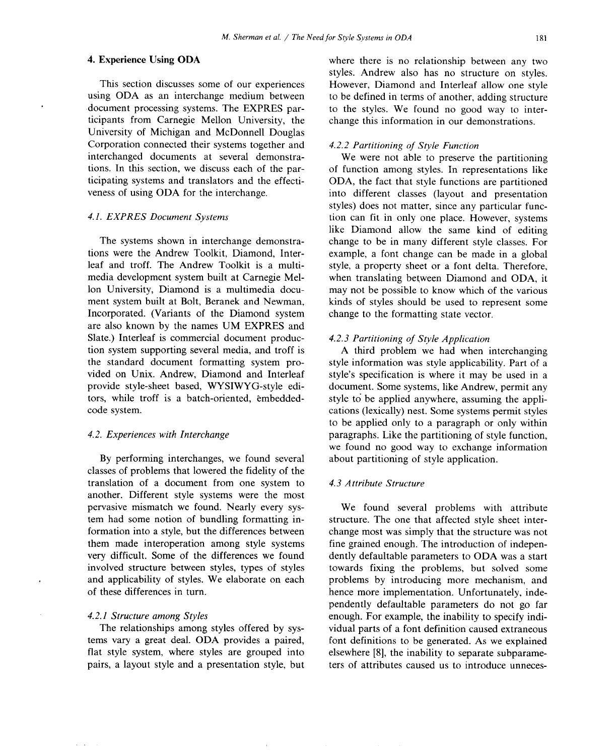University of Michigan and McDonnell Douglas *Corporation connected their systems together and <i>4.2.2 Partitioning of Style Function* interchanged documents at several demonstra- We were not able to preserve interchanged documents at several demonstra-<br>
We were not able to preserve the partitioning<br>
ions. In this section, we discuss each of the par-<br>
of function among styles. In representations like

Incorporated. (Variants of the Diamond system are also known by the names UM EXPRES and Slate.) Interleaf is commercial document produc-<br>tion system supporting several media, and troff is <br>A third problem we had when i tion system supporting several media, and troff is A third problem we had when interchanging the standard document formatting system pro-<br>style information was style applicability. Part of a

By performing interchanges, we found several classes of problems that lowered the fidelity of the translation of a document from one system to *4*.*3 Attribute Structure* another. Different style systems were the most pervasive mismatch we found. Nearly every sys-<br>the found several problems with attribute<br>tem had some notion of bundling formatting in-<br>structure. The one that affected style sheet inter-

pairs, a layout style and a presentation style, but

4. Experien**c**e Using ODA where there is no relationship between any two styles. Andrew also has no structure on styles. This section discusses some of our experiences However, Diamond and Interleaf allow one style<br>using ODA as an interchange medium between to be defined in terms of another, adding structure using ODA as an interchange medium between to be defined in terms of another, adding structure document processing systems. The EXPRES pardocument processing systems. The EXPRES par-<br>ticipants from Carnegie Mellon University, the change this information in our demonstrations. change this information in our demonstrations.

tions. In this section, we discuss each of the par-<br>ticipating systems and translators and the effecti-<br>ODA, the fact that style functions are partitioned ticipating systems and translators and the effecti**-** ODA, the fact that style functions are partitioned into different classes (layout and presentation styles) does not matter, since any particular func**-***4*.*1*. *EXPRES Document Systems* tion can fit in only one place. However, systems like Diamond allow the same kind of editing The systems shown in interchange demonstra-<br>tions were the Andrew Toolkit, Diamond, Inter-<br>example, a font change can be made in a global tions were the Andrew Toolkit, Diamond, Inter**-** example, a font change can be made in a global leaf and troff. The Andrew Toolkit is a multi-<br>media development system built at Carnegie Mel-<br>when translating between Diamond and ODA, it media development system built at Carnegie Mel-<br>
lon University, Diamond is a multimedia docu-<br>
may not be possible to know which of the various lon University, Diamond is a multimedia docu-<br>may not be possible to know which of the various<br>ment system built at Bolt, Beranek and Newman, kinds of styles should be used to represent some kinds of styles should be used to represent some change to the formatting state vector.

the standard document formatting system pro**-** style information was style applicability. Part of a vided on Unix. Andrew, Diamond and Interleaf style's specification is where it may be used in a provide style-sheet based, WYSIWYG-style edi-<br>document. Some systems, like Andrew, permit any provide style-sheet based, WYSIWYG-style edi-<br>tocument. Some systems, like Andrew, permit any<br>tors, while troff is a batch-oriented, embedded-<br>tyle to be applied anywhere, assuming the applitors, while troff is a batch-oriented, embedded-<br>code style to be applied anywhere, assuming the appli-<br>code system. cations (lexically) nest. Some systems permit styles cations (lexically) nest. Some systems permit styles to be applied only to a paragraph or only within *4*.*2*. *Experiences with Interchange* paragraphs. Like the partitioning of style function, we found no good way to exchange information<br>about partitioning of style application.

tem had some notion of bundling formatting in-<br>formation into a style, but the differences between change most was simply that the structure was not formation into a style, but the differences between change most was simply that the structure was not them made interoperation among style systems fine grained enough. The introduction of indepenthem made interoperation among style systems fine grained enough. The introduction of indepen-<br>very difficult. Some of the differences we found dently defaultable parameters to ODA was a start very difficult. Some of the differences we found dently defaultable parameters to ODA was a start involved structure between styles, types of styles towards fixing the problems, but solved some involved structure between styles, types of styles towards fixing the problems, but solved some and applicability of styles. We elaborate on each problems by introducing more mechanism, and and applicability of styles. We elaborate on each problems by introducing more mechanism, and of these differences in turn.  $\blacksquare$ hence more implementation. Unfortunately, independently defaultable parameters do not go far *4*.*2*.*1 Structure among Styles* enough. For example, the inability to specify indi-The relationships among styles offered by sys-<br>tions of a font definition caused extraneous<br>tems vary a great deal. ODA provides a paired, font definitions to be generated. As we explained tems vary a great deal. ODA provides a paired, font definitions to be generated. As we explained flat style system, where styles are grouped into elsewhere [8], the inability to separate subparameelsewhere [8], the inability to separate subparame-<br>ters of attributes caused us to introduce unneces